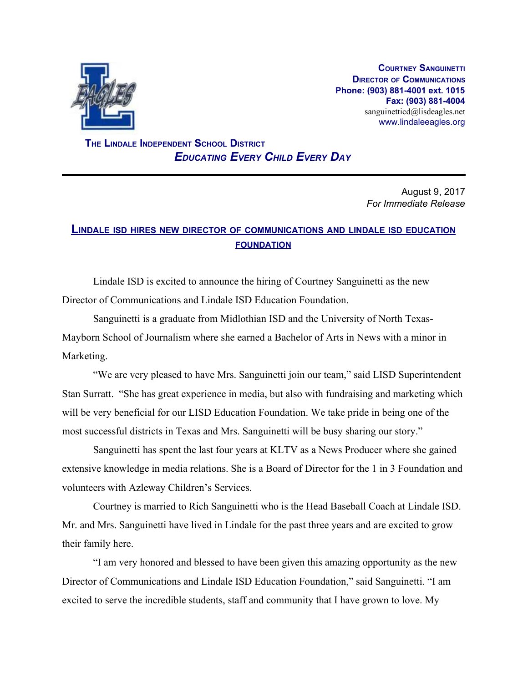

**COURTNEY SANGUINETTI DIRECTOR OF COMMUNICATIONS Phone: (903) 881-4001 ext. 1015 Fax: (903) 881-4004** sanguinetticd@lisdeagles.net www.lindaleeagles.org

 **THE LINDALE INDEPENDENT SCHOOL DISTRICT** *EDUCATING EVERY CHILD EVERY DAY*

> August 9, 2017 *For Immediate Release*

## **LINDALE ISD HIRES NEW DIRECTOR OF COMMUNICATIONS AND LINDALE ISD EDUCATION FOUNDATION**

Lindale ISD is excited to announce the hiring of Courtney Sanguinetti as the new Director of Communications and Lindale ISD Education Foundation.

Sanguinetti is a graduate from Midlothian ISD and the University of North Texas-Mayborn School of Journalism where she earned a Bachelor of Arts in News with a minor in Marketing.

"We are very pleased to have Mrs. Sanguinetti join our team," said LISD Superintendent Stan Surratt. "She has great experience in media, but also with fundraising and marketing which will be very beneficial for our LISD Education Foundation. We take pride in being one of the most successful districts in Texas and Mrs. Sanguinetti will be busy sharing our story."

Sanguinetti has spent the last four years at KLTV as a News Producer where she gained extensive knowledge in media relations. She is a Board of Director for the 1 in 3 Foundation and volunteers with Azleway Children's Services.

Courtney is married to Rich Sanguinetti who is the Head Baseball Coach at Lindale ISD. Mr. and Mrs. Sanguinetti have lived in Lindale for the past three years and are excited to grow their family here.

"I am very honored and blessed to have been given this amazing opportunity as the new Director of Communications and Lindale ISD Education Foundation," said Sanguinetti. "I am excited to serve the incredible students, staff and community that I have grown to love. My